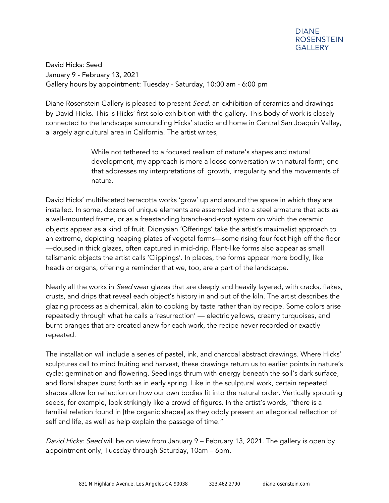David Hicks: Seed January 9 - February 13, 2021 Gallery hours by appointment: Tuesday - Saturday, 10:00 am - 6:00 pm

Diane Rosenstein Gallery is pleased to present *Seed*, an exhibition of ceramics and drawings by David Hicks. This is Hicks' first solo exhibition with the gallery. This body of work is closely connected to the landscape surrounding Hicks' studio and home in Central San Joaquin Valley, a largely agricultural area in California. The artist writes,

> While not tethered to a focused realism of nature's shapes and natural development, my approach is more a loose conversation with natural form; one that addresses my interpretations of growth, irregularity and the movements of nature.

David Hicks' multifaceted terracotta works 'grow' up and around the space in which they are installed. In some, dozens of unique elements are assembled into a steel armature that acts as a wall-mounted frame, or as a freestanding branch-and-root system on which the ceramic objects appear as a kind of fruit. Dionysian 'Offerings' take the artist's maximalist approach to an extreme, depicting heaping plates of vegetal forms—some rising four feet high off the floor —doused in thick glazes, often captured in mid-drip. Plant-like forms also appear as small talismanic objects the artist calls 'Clippings'. In places, the forms appear more bodily, like heads or organs, offering a reminder that we, too, are a part of the landscape.

Nearly all the works in *Seed* wear glazes that are deeply and heavily layered, with cracks, flakes, crusts, and drips that reveal each object's history in and out of the kiln. The artist describes the glazing process as alchemical, akin to cooking by taste rather than by recipe. Some colors arise repeatedly through what he calls a 'resurrection' — electric yellows, creamy turquoises, and burnt oranges that are created anew for each work, the recipe never recorded or exactly repeated.

The installation will include a series of pastel, ink, and charcoal abstract drawings. Where Hicks' sculptures call to mind fruiting and harvest, these drawings return us to earlier points in nature's cycle: germination and flowering. Seedlings thrum with energy beneath the soil's dark surface, and floral shapes burst forth as in early spring. Like in the sculptural work, certain repeated shapes allow for reflection on how our own bodies fit into the natural order. Vertically sprouting seeds, for example, look strikingly like a crowd of figures. In the artist's words, "there is a familial relation found in [the organic shapes] as they oddly present an allegorical reflection of self and life, as well as help explain the passage of time."

David Hicks: Seed will be on view from January 9 – February 13, 2021. The gallery is open by appointment only, Tuesday through Saturday, 10am – 6pm.